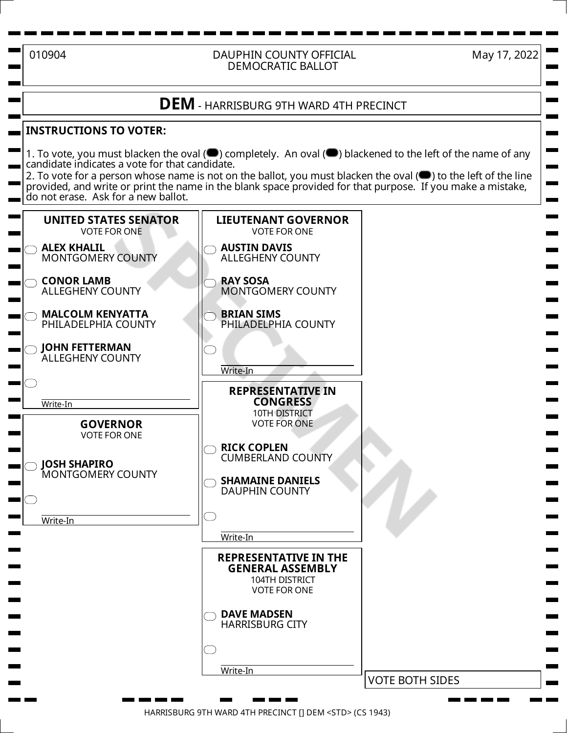## 010904 DAUPHIN COUNTY OFFICIAL DEMOCRATIC BALLOT

May 17, 2022

## **DEM** - HARRISBURG 9TH WARD 4TH PRECINCT

## **INSTRUCTIONS TO VOTER:**

1. To vote, you must blacken the oval ( $\blacksquare$ ) completely. An oval ( $\blacksquare$ ) blackened to the left of the name of any candidate indicates a vote for that candidate.

2. To vote for a person whose name is not on the ballot, you must blacken the oval  $($ **)** to the left of the line provided, and write or print the name in the blank space provided for that purpose. If you make a mistake, do not erase. Ask for a new ballot.